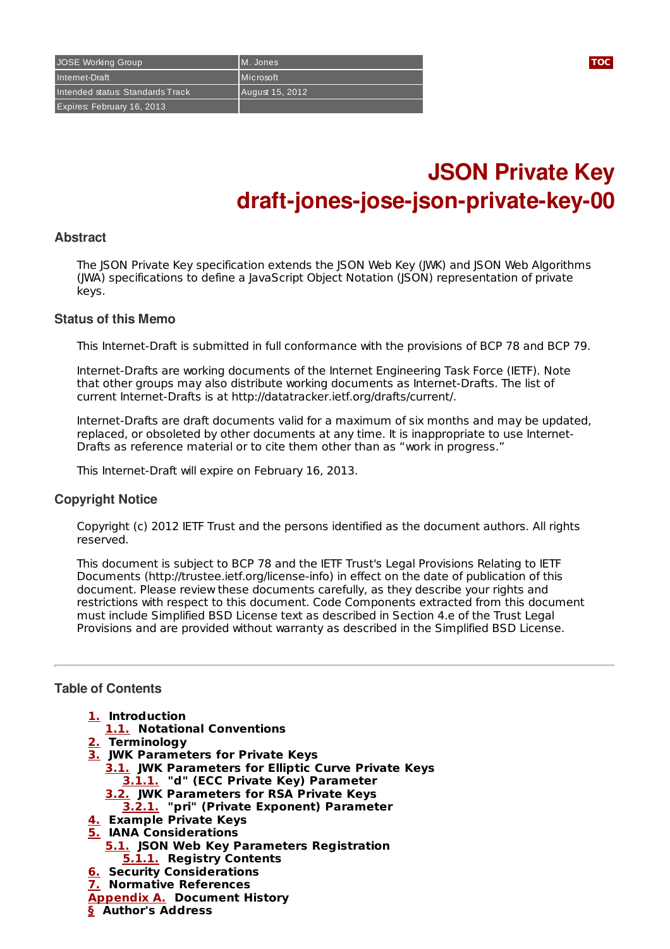# **JSON Private Key draft-jones-jose-json-private-key-00**

#### **Abstract**

The JSON Private Key specification extends the JSON Web Key (JWK) and JSON Web Algorithms (JWA) specifications to define a JavaScript Object Notation (JSON) representation of private keys.

#### **Status of this Memo**

This Internet-Draft is submitted in full conformance with the provisions of BCP 78 and BCP 79.

Internet-Drafts are working documents of the Internet Engineering Task Force (IETF). Note that other groups may also distribute working documents as Internet-Drafts. The list of current Internet-Drafts is at http://datatracker.ietf.org/drafts/current/.

Internet-Drafts are draft documents valid for a maximum of six months and may be updated, replaced, or obsoleted by other documents at any time. It is inappropriate to use Internet-Drafts as reference material or to cite them other than as "work in progress."

This Internet-Draft will expire on February 16, 2013.

#### **Copyright Notice**

Copyright (c) 2012 IETF Trust and the persons identified as the document authors. All rights reserved.

This document is subject to BCP 78 and the IETF Trust's Legal Provisions Relating to IETF Documents (http://trustee.ietf.org/license-info) in effect on the date of publication of this document. Please review these documents carefully, as they describe your rights and restrictions with respect to this document. Code Components extracted from this document must include Simplified BSD License text as described in Section 4.e of the Trust Legal Provisions and are provided without warranty as described in the Simplified BSD License.

# <span id="page-0-0"></span>**Table of Contents**

- **[1.](#page-1-0) Introduction**
- **[1.1.](#page-1-1) Notational Conventions**
- **[2.](#page-1-2) Terminology**
- **[3.](#page-1-3) JWK Parameters for Private Keys**
	- **[3.1.](#page-1-4) JWK Parameters for Elliptic Curve Private Keys [3.1.1.](#page-1-5) "d" (ECC Private Key) Parameter**
		- **[3.2.](#page-1-6) JWK Parameters for RSA Private Keys**
		- **[3.2.1.](#page-1-7) "pri" (Private Exponent) Parameter**
- **[4.](#page-2-0) Example Private Keys**
- **[5.](#page-2-1) IANA Considerations**
- **[5.1.](#page-2-2) JSON Web Key Parameters Registration [5.1.1.](#page-2-3) Registry Contents**
- **[6.](#page-3-0) Security Considerations**
- **[7.](#page-3-1) Normative References**
- **[Appendix](#page-3-2) A. Document History**
- **[§](#page-3-3) Author's Address**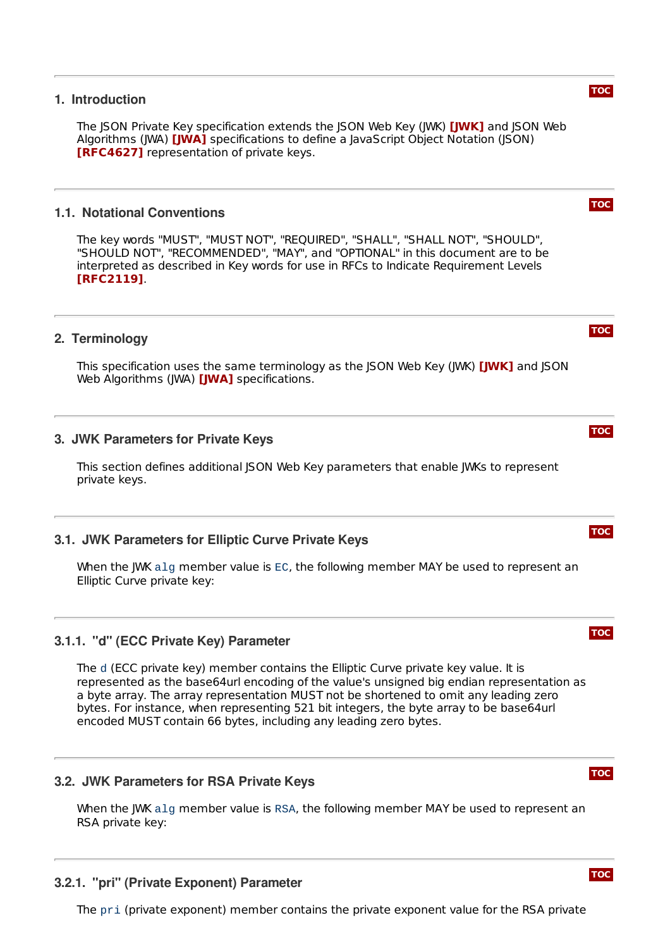#### <span id="page-1-0"></span>**1. Introduction**

The JSON Private Key specification extends the JSON Web Key (JWK) **[\[JWK\]](#page-3-4)** and JSON Web Algorithms (JWA) **[\[JWA\]](#page-3-5)** specifications to define a JavaScript Object Notation (JSON) **[\[RFC4627\]](#page-3-6)** representation of private keys.

#### <span id="page-1-1"></span>**1.1. Notational Conventions**

The key words "MUST", "MUST NOT", "REQUIRED", "SHALL", "SHALL NOT", "SHOULD", "SHOULD NOT", "RECOMMENDED", "MAY", and "OPTIONAL" in this document are to be interpreted as described in Key words for use in RFCs to Indicate Requirement Levels . **[\[RFC2119\]](#page-3-7)**

## <span id="page-1-2"></span>**2. Terminology**

This specification uses the same terminology as the JSON Web Key (JWK) **[\[JWK\]](#page-3-4)** and JSON Web Algorithms (JWA) **[\[JWA\]](#page-3-5)** specifications.

#### <span id="page-1-3"></span>**3. JWK Parameters for Private Keys**

This section defines additional JSON Web Key parameters that enable JWKs to represent private keys.

#### <span id="page-1-4"></span>**3.1. JWK Parameters for Elliptic Curve Private Keys**

When the JWK alg member value is EC, the following member MAY be used to represent an Elliptic Curve private key:

#### <span id="page-1-5"></span>**3.1.1. "d" (ECC Private Key) Parameter**

The d (ECC private key) member contains the Elliptic Curve private key value. It is represented as the base64url encoding of the value's unsigned big endian representation as a byte array. The array representation MUST not be shortened to omit any leading zero bytes. For instance, when representing 521 bit integers, the byte array to be base64url encoded MUST contain 66 bytes, including any leading zero bytes.

# <span id="page-1-6"></span>**3.2. JWK Parameters for RSA Private Keys**

When the JWK alg member value is RSA, the following member MAY be used to represent an RSA private key:

### <span id="page-1-7"></span>**3.2.1. "pri" (Private Exponent) Parameter**

The pri (private exponent) member contains the private exponent value for the RSA private



**[TOC](#page-0-0)**

# **[TOC](#page-0-0)**



**[TOC](#page-0-0)**



**[TOC](#page-0-0)**



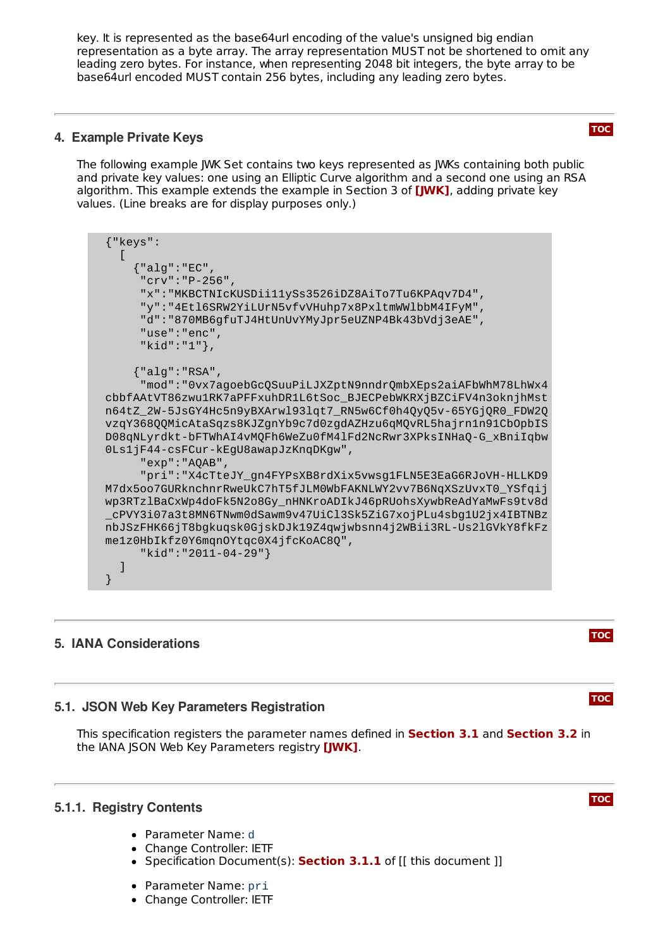key. It is represented as the base64url encoding of the value's unsigned big endian representation as a byte array. The array representation MUST not be shortened to omit any leading zero bytes. For instance, when representing 2048 bit integers, the byte array to be base64url encoded MUST contain 256 bytes, including any leading zero bytes.

## <span id="page-2-0"></span>**4. Example Private Keys**

The following example JWK Set contains two keys represented as JWKs containing both public and private key values: one using an Elliptic Curve algorithm and a second one using an RSA algorithm. This example extends the example in Section 3 of **[\[JWK\]](#page-3-4)**, adding private key values. (Line breaks are for display purposes only.)

| ${''keys":}$                                                                                                                    |
|---------------------------------------------------------------------------------------------------------------------------------|
|                                                                                                                                 |
| ${''alg": "EC",$                                                                                                                |
| "crv": "P-256",<br>"x": "MKBCTNIcKUSDii11ySs3526iDZ8AiTo7Tu6KPAqv7D4",                                                          |
| "y":"4Etl6SRW2YiLUrN5vfvVHuhp7x8PxltmWWlbbM4IFyM",                                                                              |
| "d":"870MB6gfuTJ4HtUnUvYMyJpr5eUZNP4Bk43bVdj3eAE",                                                                              |
| "use": "enc",                                                                                                                   |
| "kid":"1"},                                                                                                                     |
|                                                                                                                                 |
| ${''alg": "RSA",$                                                                                                               |
| "mod":"0vx7agoebGcQSuuPiLJXZptN9nndrQmbXEps2aiAFbWhM78LhWx4<br>cbbfAAtVT86zwu1RK7aPFFxuhDR1L6tSoc_BJECPebWKRXjBZCiFV4n3oknjhMst |
| n64tZ_2W-5JsGY4Hc5n9yBXArwl93lqt7_RN5w6Cf0h4QyQ5v-65YGjQR0_FDW2Q                                                                |
| vzqY368QQMicAtaSqzs8KJZgnYb9c7d0zgdAZHzu6qMQvRL5hajrn1n91CbOpbIS                                                                |
| D08qNLyrdkt-bFTWhAI4vMQFh6WeZu0fM41Fd2NcRwr3XPksINHaQ-G_xBniIqbw                                                                |
| 0Ls1jF44-csFCur-kEgU8awapJzKnqDKgw",                                                                                            |
| "exp": "AQAB",                                                                                                                  |
| "pri":"X4cTteJY_gn4FYPsXB8rdXix5vwsg1FLN5E3EaG6RJoVH-HLLKD9<br>M7dx5oo7GURknchnrRweUkC7hT5fJLM0WbFAKNLWY2vv7B6NqXSzUvxT0_YSfqij |
| wp3RTzlBaCxWp4doFk5N2o8Gy_nHNKroADIkJ46pRUohsXywbReAdYaMwFs9tv8d                                                                |
| _cPVY3i07a3t8MN6TNwm0dSawm9v47UiCl3Sk5ZiG7xojPLu4sbg1U2jx4IBTNBz                                                                |
| nbJSzFHK66jT8bgkuqsk0GjskDJk19Z4qwjwbsnn4j2WBii3RL-Us2lGVkY8fkFz                                                                |
| me1z0HbIkfz0Y6mqn0Ytqc0X4jfcKoAC8Q",                                                                                            |
| "kid":"2011-04-29"}                                                                                                             |
|                                                                                                                                 |
|                                                                                                                                 |

# <span id="page-2-2"></span><span id="page-2-1"></span>**5. IANA Considerations**

# **[TOC](#page-0-0)**

**[TOC](#page-0-0)**

**[TOC](#page-0-0)**

# **5.1. JSON Web Key Parameters Registration**

This specification registers the parameter names defined in **[Section](#page-1-6) 3.1** and **Section 3.2** in the IANA JSON Web Key Parameters registry **[\[JWK\]](#page-3-4)**.

#### <span id="page-2-3"></span>**5.1.1. Registry Contents**

- Parameter Name: d
- Change Controller: IETF
- Specification Document(s): **[Section](#page-1-5) 3.1.1** of [[ this document ]]
- Parameter Name: pri
- Change Controller: IETF

# **[TOC](#page-0-0)**